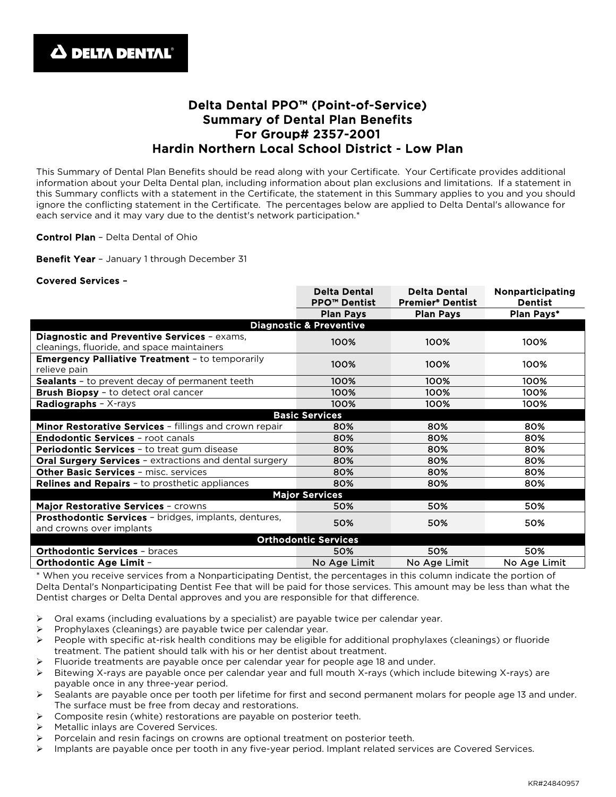## Delta Dental PPO™ (Point-of-Service) Summary of Dental Plan Benefits For Group# 2357-2001 Hardin Northern Local School District - Low Plan

This Summary of Dental Plan Benefits should be read along with your Certificate. Your Certificate provides additional information about your Delta Dental plan, including information about plan exclusions and limitations. If a statement in this Summary conflicts with a statement in the Certificate, the statement in this Summary applies to you and you should ignore the conflicting statement in the Certificate. The percentages below are applied to Delta Dental's allowance for each service and it may vary due to the dentist's network participation.\*

Control Plan – Delta Dental of Ohio

Benefit Year - January 1 through December 31

## Covered Services –

|                                                                                           | <b>Delta Dental</b><br><b>PPO™ Dentist</b> | <b>Delta Dental</b><br><b>Premier® Dentist</b> | Nonparticipating<br><b>Dentist</b> |
|-------------------------------------------------------------------------------------------|--------------------------------------------|------------------------------------------------|------------------------------------|
|                                                                                           | <b>Plan Pays</b>                           | <b>Plan Pays</b>                               | Plan Pays*                         |
| <b>Diagnostic &amp; Preventive</b>                                                        |                                            |                                                |                                    |
| Diagnostic and Preventive Services - exams,<br>cleanings, fluoride, and space maintainers | 100%                                       | 100%                                           | 100%                               |
| <b>Emergency Palliative Treatment - to temporarily</b><br>relieve pain                    | 100%                                       | 100%                                           | 100%                               |
| <b>Sealants</b> - to prevent decay of permanent teeth                                     | 100%                                       | 100%                                           | 100%                               |
| <b>Brush Biopsy</b> - to detect oral cancer                                               | 100%                                       | 100%                                           | 100%                               |
| <b>Radiographs</b> - $X$ -rays                                                            | 100%                                       | 100%                                           | 100%                               |
|                                                                                           | <b>Basic Services</b>                      |                                                |                                    |
| Minor Restorative Services - fillings and crown repair                                    | 80%                                        | 80%                                            | 80%                                |
| <b>Endodontic Services - root canals</b>                                                  | 80%                                        | 80%                                            | 80%                                |
| <b>Periodontic Services</b> - to treat gum disease                                        | 80%                                        | 80%                                            | 80%                                |
| <b>Oral Surgery Services - extractions and dental surgery</b>                             | 80%                                        | 80%                                            | 80%                                |
| <b>Other Basic Services - misc. services</b>                                              | 80%                                        | 80%                                            | 80%                                |
| <b>Relines and Repairs - to prosthetic appliances</b>                                     | 80%                                        | 80%                                            | 80%                                |
|                                                                                           | <b>Major Services</b>                      |                                                |                                    |
| Major Restorative Services - crowns                                                       | 50%                                        | 50%                                            | 50%                                |
| Prosthodontic Services - bridges, implants, dentures,<br>and crowns over implants         | 50%                                        | 50%                                            | 50%                                |
| <b>Orthodontic Services</b>                                                               |                                            |                                                |                                    |
| <b>Orthodontic Services - braces</b>                                                      | 50%                                        | 50%                                            | 50%                                |
| Orthodontic Age Limit -                                                                   | No Age Limit                               | No Age Limit                                   | No Age Limit                       |

\* When you receive services from a Nonparticipating Dentist, the percentages in this column indicate the portion of Delta Dental's Nonparticipating Dentist Fee that will be paid for those services. This amount may be less than what the Dentist charges or Delta Dental approves and you are responsible for that difference.

- $\triangleright$  Oral exams (including evaluations by a specialist) are payable twice per calendar year.
- Prophylaxes (cleanings) are payable twice per calendar year.
- $\triangleright$  People with specific at-risk health conditions may be eligible for additional prophylaxes (cleanings) or fluoride treatment. The patient should talk with his or her dentist about treatment.
- Fluoride treatments are payable once per calendar year for people age 18 and under.
- Bitewing X-rays are payable once per calendar year and full mouth X-rays (which include bitewing X-rays) are payable once in any three-year period.
- $\triangleright$  Sealants are payable once per tooth per lifetime for first and second permanent molars for people age 13 and under. The surface must be free from decay and restorations.
- Composite resin (white) restorations are payable on posterior teeth.
- Metallic inlays are Covered Services.
- Porcelain and resin facings on crowns are optional treatment on posterior teeth.
- $\triangleright$  Implants are payable once per tooth in any five-year period. Implant related services are Covered Services.